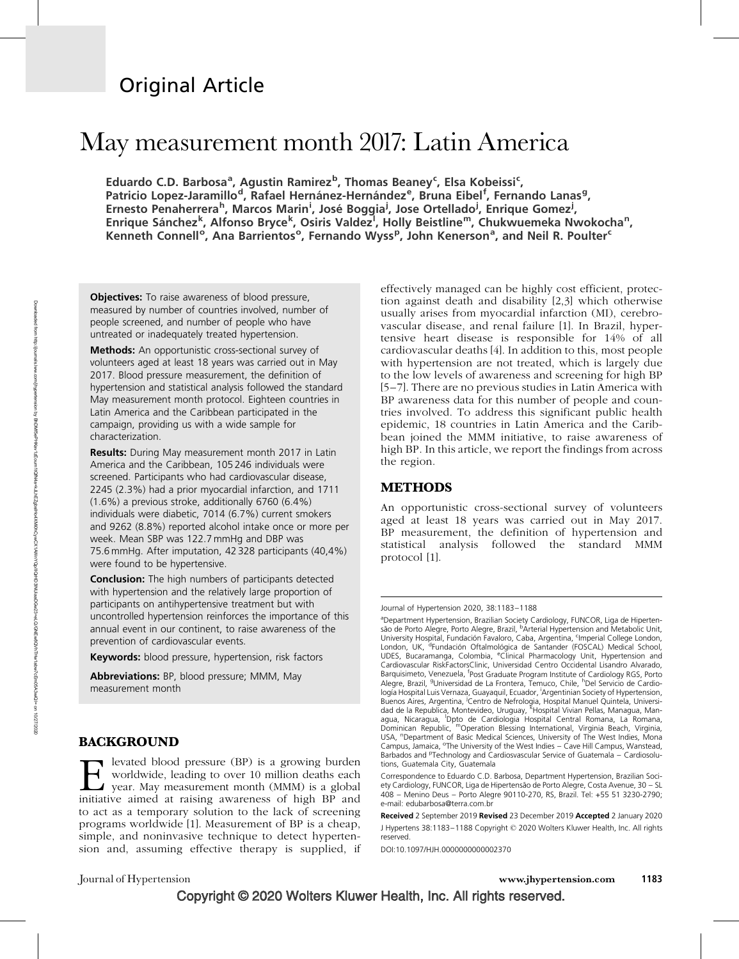## Original Article

# May measurement month 2017: Latin America

Eduardo C.D. Barbosa<sup>a</sup>, Agustin Ramirez<sup>b</sup>, Thomas Beaney<sup>c</sup>, Elsa Kobeissi<sup>c</sup>, Patricio Lopez-Jaramillo<sup>d</sup>, Rafael Hernánez-Hernández<sup>e</sup>, Bruna Eibel<sup>f</sup>, Fernando Lanas<sup>g</sup>, Ernesto Penaherrera<sup>h</sup>, Marcos Marin<sup>i</sup>, José Boggia<sup>j</sup>, Jose Ortellado<sup>j</sup>, Enrique Gomez<sup>j</sup>, Enrique Sánchez<sup>k</sup>, Alfonso Bryce<sup>k</sup>, Osiris Valdez<sup>i</sup>, Holly Beistline<sup>m</sup>, Chukwuemeka Nwokocha<sup>n</sup>, Kenneth Connell<sup>o</sup>, Ana Barrientos<sup>o</sup>, Fernando Wyss<sup>p</sup>, John Kenerson<sup>a</sup>, and Neil R. Poulter<sup>c</sup>

**Objectives:** To raise awareness of blood pressure, measured by number of countries involved, number of people screened, and number of people who have untreated or inadequately treated hypertension.

**Methods:** An opportunistic cross-sectional survey of volunteers aged at least 18 years was carried out in May 2017. Blood pressure measurement, the definition of hypertension and statistical analysis followed the standard May measurement month protocol. Eighteen countries in Latin America and the Caribbean participated in the campaign, providing us with a wide sample for characterization.

Results: During May measurement month 2017 in Latin America and the Caribbean, 105 246 individuals were screened. Participants who had cardiovascular disease, 2245 (2.3%) had a prior myocardial infarction, and 1711 (1.6%) a previous stroke, additionally 6760 (6.4%) individuals were diabetic, 7014 (6.7%) current smokers and 9262 (8.8%) reported alcohol intake once or more per week. Mean SBP was 122.7 mmHg and DBP was 75.6 mmHg. After imputation, 42 328 participants (40,4%) were found to be hypertensive.

**Conclusion:** The high numbers of participants detected with hypertension and the relatively large proportion of participants on antihypertensive treatment but with uncontrolled hypertension reinforces the importance of this annual event in our continent, to raise awareness of the prevention of cardiovascular events.

Keywords: blood pressure, hypertension, risk factors

Abbreviations: BP, blood pressure; MMM, May measurement month

## **BACKGROUND**

levated blood pressure (BP) is a growing burden worldwide, leading to over 10 million deaths each year. May measurement month (MMM) is a global initiative aimed at raising awareness of high BP and to act as a temporary solution to the lack of screening programs worldwide [1]. Measurement of BP is a cheap, simple, and noninvasive technique to detect hypertension and, assuming effective therapy is supplied, if effectively managed can be highly cost efficient, protection against death and disability [2,3] which otherwise usually arises from myocardial infarction (MI), cerebrovascular disease, and renal failure [1]. In Brazil, hypertensive heart disease is responsible for 14% of all cardiovascular deaths [4]. In addition to this, most people with hypertension are not treated, which is largely due to the low levels of awareness and screening for high BP [5–7]. There are no previous studies in Latin America with BP awareness data for this number of people and countries involved. To address this significant public health epidemic, 18 countries in Latin America and the Caribbean joined the MMM initiative, to raise awareness of high BP. In this article, we report the findings from across the region.

## METHODS

An opportunistic cross-sectional survey of volunteers aged at least 18 years was carried out in May 2017. BP measurement, the definition of hypertension and statistical analysis followed the standard MMM protocol [1].

DOI:10.1097/HJH.0000000000002370

Journal of Hypertension www.jhypertension.com 1183

Journal of Hypertension 2020, 38:1183–1188

<sup>&</sup>lt;sup>a</sup>Department Hypertension, Brazilian Society Cardiology, FUNCOR, Liga de Hipertensão de Porto Alegre, Porto Alegre, Brazil, <sup>b</sup>Arterial Hypertension and Metabolic Unit, University Hospital, Fundación Favaloro, Caba, Argentina, <sup>c</sup>Imperial College London, London, UK, <sup>d</sup>Fundación Oftalmológica de Santander (FOSCAL) Medical School, UDES, Bucaramanga, Colombia, eClinical Pharmacology Unit, Hypertension and Cardiovascular RiskFactorsClinic, Universidad Centro Occidental Lisandro Alvarado, Barquisimeto, Venezuela, <sup>f</sup>Post Graduate Program Institute of Cardiology RGS, Porto<br>Alegre, Brazil, <sup>g</sup>Universidad de La Frontera, Temuco, Chile, <sup>h</sup>Del Servicio de Cardiología Hospital Luis Vernaza, Guayaquil, Ecuador, <sup>i</sup>Argentinian Society of Hypertension, Buenos Aires, Argentina, <sup>i</sup>Centro de Nefrologia, Hospital Manuel Quintela, Universi-<br>dad de la Republica, Montevideo, Uruguay, <sup>k</sup>Hospital Vivian Pellas, Managua, Managua, Nicaragua, <sup>I</sup>Dpto de Cardiologia Hospital Central Romana, La Romana, Dominican Republic, <sup>m</sup>Operation Blessing International, Virginia Beach, Virginia,<br>USA, <sup>n</sup>Department of Basic Medical Sciences, University of The West Indies, Mona Campus, Jamaica, <sup>o</sup>The University of the West Indies - Cave Hill Campus, Wanstead, Barbados and <sup>p</sup>Technology and Cardiosvascular Service of Guatemala - Cardiosolutions, Guatemala City, Guatemala

Correspondence to Eduardo C.D. Barbosa, Department Hypertension, Brazilian Society Cardiology, FUNCOR, Liga de Hipertensão de Porto Alegre, Costa Avenue, 30 – SL 408 – Menino Deus – Porto Alegre 90110-270, RS, Brazil. Tel: +55 51 3230-2790; e-mail: [edubarbosa@terra.com.br](mailto:edubarbosa@terra.com.br)

Received 2 September 2019 Revised 23 December 2019 Accepted 2 January 2020 J Hypertens 38:1183–1188 Copyright © 2020 Wolters Kluwer Health, Inc. All rights reserved.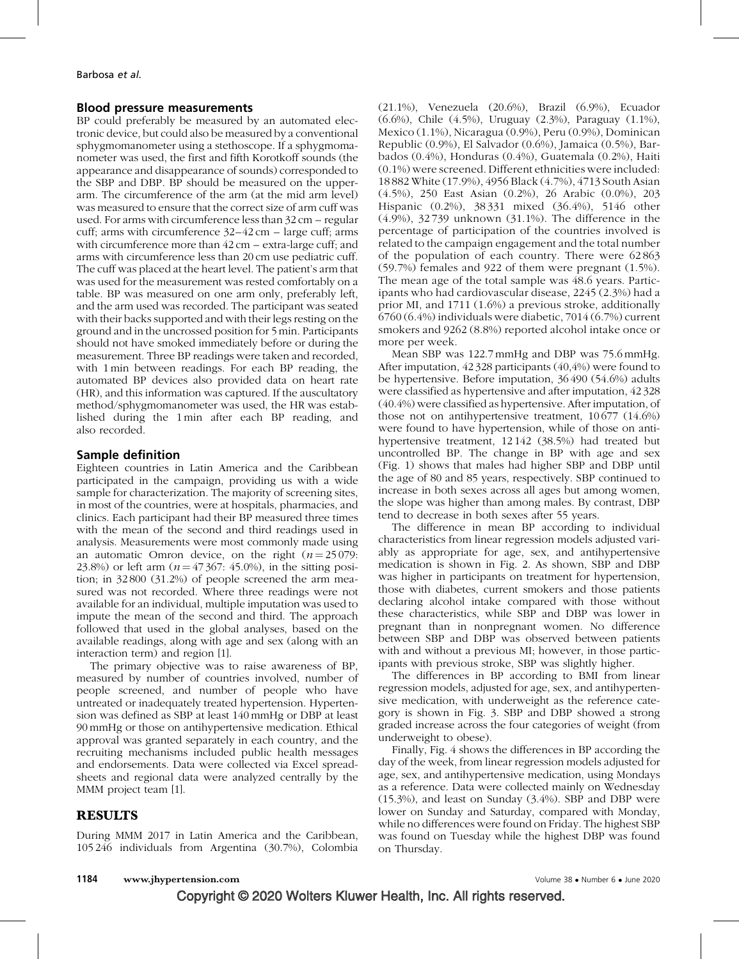#### Blood pressure measurements

BP could preferably be measured by an automated electronic device, but could also be measured by a conventional sphygmomanometer using a stethoscope. If a sphygmomanometer was used, the first and fifth Korotkoff sounds (the appearance and disappearance of sounds) corresponded to the SBP and DBP. BP should be measured on the upperarm. The circumference of the arm (at the mid arm level) was measured to ensure that the correct size of arm cuff was used. For arms with circumference less than 32cm – regular cuff; arms with circumference  $32-42$  cm – large cuff; arms with circumference more than  $42 \text{ cm}$  – extra-large cuff; and arms with circumference less than 20cm use pediatric cuff. The cuff was placed at the heart level. The patient's arm that was used for the measurement was rested comfortably on a table. BP was measured on one arm only, preferably left, and the arm used was recorded. The participant was seated with their backs supported and with their legs resting on the ground and in the uncrossed position for 5min. Participants should not have smoked immediately before or during the measurement. Three BP readings were taken and recorded, with 1min between readings. For each BP reading, the automated BP devices also provided data on heart rate (HR), and this information was captured. If the auscultatory method/sphygmomanometer was used, the HR was established during the 1min after each BP reading, and also recorded.

## Sample definition

Eighteen countries in Latin America and the Caribbean participated in the campaign, providing us with a wide sample for characterization. The majority of screening sites, in most of the countries, were at hospitals, pharmacies, and clinics. Each participant had their BP measured three times with the mean of the second and third readings used in analysis. Measurements were most commonly made using an automatic Omron device, on the right  $(n = 25079)$ : 23.8%) or left arm  $(n = 47367: 45.0\%)$ , in the sitting position; in 32800 (31.2%) of people screened the arm measured was not recorded. Where three readings were not available for an individual, multiple imputation was used to impute the mean of the second and third. The approach followed that used in the global analyses, based on the available readings, along with age and sex (along with an interaction term) and region [1].

The primary objective was to raise awareness of BP, measured by number of countries involved, number of people screened, and number of people who have untreated or inadequately treated hypertension. Hypertension was defined as SBP at least 140 mmHg or DBP at least 90mmHg or those on antihypertensive medication. Ethical approval was granted separately in each country, and the recruiting mechanisms included public health messages and endorsements. Data were collected via Excel spreadsheets and regional data were analyzed centrally by the MMM project team [1].

## RESULTS

During MMM 2017 in Latin America and the Caribbean, 105 246 individuals from Argentina (30.7%), Colombia (21.1%), Venezuela (20.6%), Brazil (6.9%), Ecuador (6.6%), Chile (4.5%), Uruguay (2.3%), Paraguay (1.1%), Mexico (1.1%), Nicaragua (0.9%), Peru (0.9%), Dominican Republic (0.9%), El Salvador (0.6%), Jamaica (0.5%), Barbados (0.4%), Honduras (0.4%), Guatemala (0.2%), Haiti (0.1%) were screened. Different ethnicities were included: 18 882 White (17.9%), 4956 Black (4.7%), 4713 South Asian (4.5%), 250 East Asian (0.2%), 26 Arabic (0.0%), 203 Hispanic (0.2%), 38 331 mixed (36.4%), 5146 other (4.9%), 32 739 unknown (31.1%). The difference in the percentage of participation of the countries involved is related to the campaign engagement and the total number of the population of each country. There were 62 863 (59.7%) females and 922 of them were pregnant (1.5%). The mean age of the total sample was 48.6 years. Participants who had cardiovascular disease, 2245 (2.3%) had a prior MI, and 1711 (1.6%) a previous stroke, additionally 6760 (6.4%) individuals were diabetic, 7014 (6.7%) current smokers and 9262 (8.8%) reported alcohol intake once or more per week.

Mean SBP was 122.7 mmHg and DBP was 75.6 mmHg. After imputation, 42328 participants (40,4%) were found to be hypertensive. Before imputation, 36490 (54.6%) adults were classified as hypertensive and after imputation, 42328 (40.4%) were classified as hypertensive. After imputation, of those not on antihypertensive treatment, 10677 (14.6%) were found to have hypertension, while of those on antihypertensive treatment, 12142 (38.5%) had treated but uncontrolled BP. The change in BP with age and sex (Fig. 1) shows that males had higher SBP and DBP until the age of 80 and 85 years, respectively. SBP continued to increase in both sexes across all ages but among women, the slope was higher than among males. By contrast, DBP tend to decrease in both sexes after 55 years.

The difference in mean BP according to individual characteristics from linear regression models adjusted variably as appropriate for age, sex, and antihypertensive medication is shown in Fig. 2. As shown, SBP and DBP was higher in participants on treatment for hypertension, those with diabetes, current smokers and those patients declaring alcohol intake compared with those without these characteristics, while SBP and DBP was lower in pregnant than in nonpregnant women. No difference between SBP and DBP was observed between patients with and without a previous MI; however, in those participants with previous stroke, SBP was slightly higher.

The differences in BP according to BMI from linear regression models, adjusted for age, sex, and antihypertensive medication, with underweight as the reference category is shown in Fig. 3. SBP and DBP showed a strong graded increase across the four categories of weight (from underweight to obese).

Finally, Fig. 4 shows the differences in BP according the day of the week, from linear regression models adjusted for age, sex, and antihypertensive medication, using Mondays as a reference. Data were collected mainly on Wednesday (15.3%), and least on Sunday (3.4%). SBP and DBP were lower on Sunday and Saturday, compared with Monday, while no differences were found on Friday. The highest SBP was found on Tuesday while the highest DBP was found on Thursday.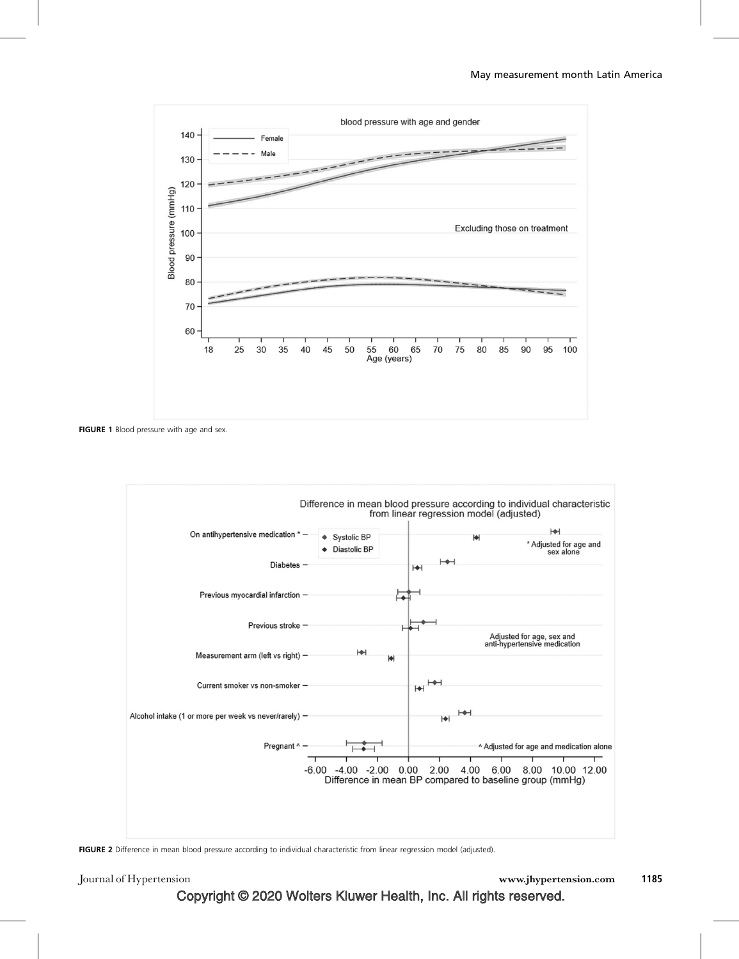

FIGURE 1 Blood pressure with age and sex.



FIGURE 2 Difference in mean blood pressure according to individual characteristic from linear regression model (adjusted).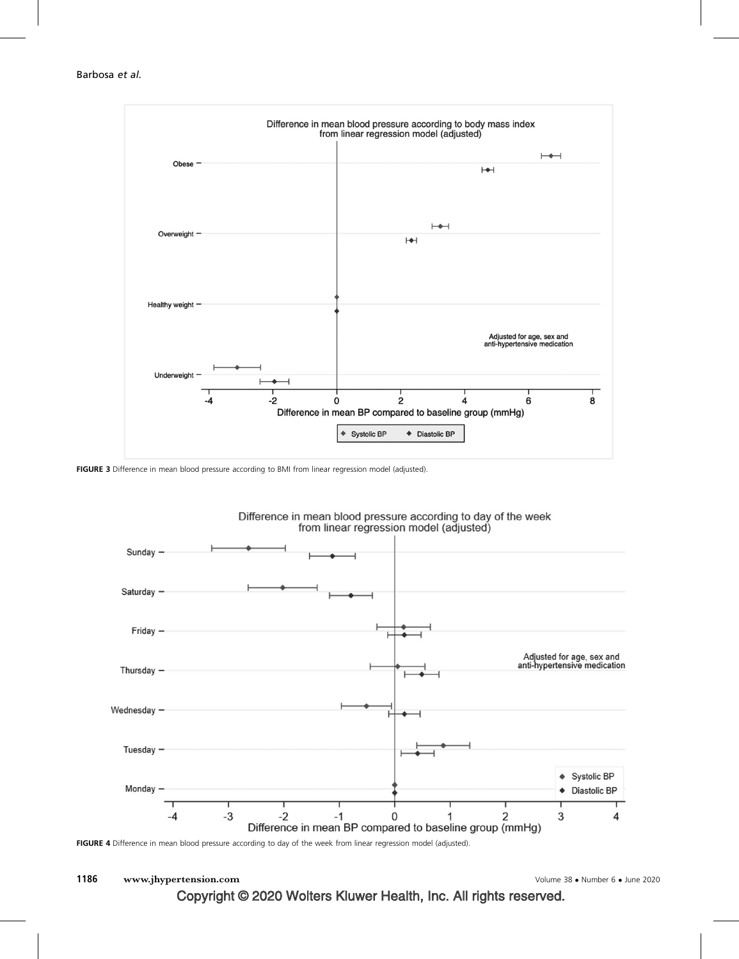

FIGURE 3 Difference in mean blood pressure according to BMI from linear regression model (adjusted).



Difference in mean blood pressure according to day of the week from linear regression model (adjusted)



1186 www.jhypertension.com

Number 6 - June 2020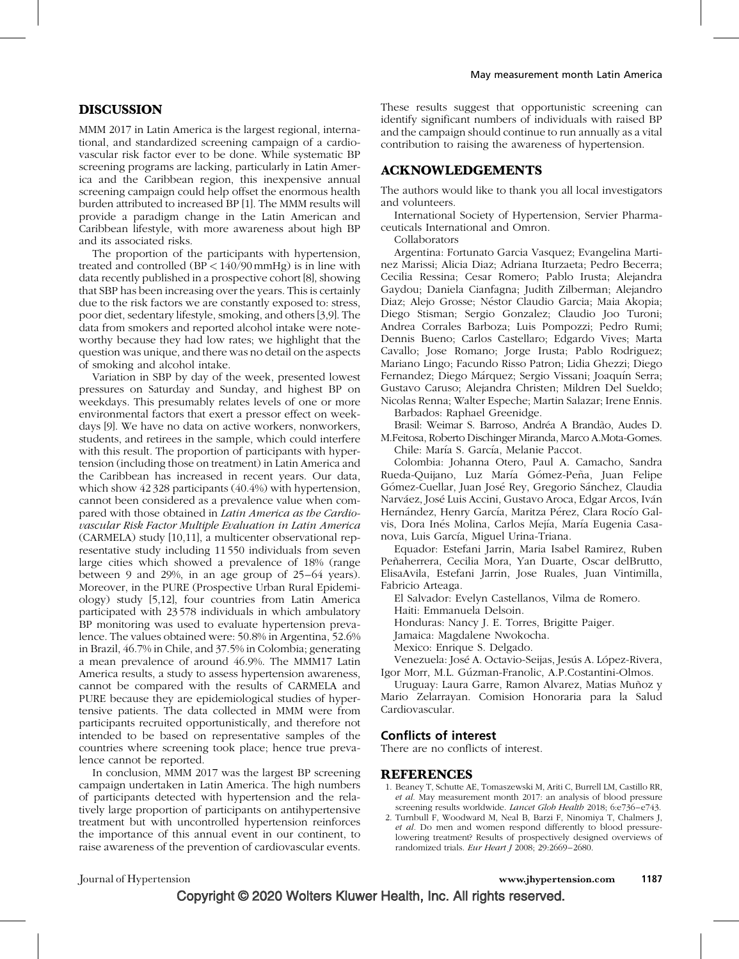### DISCUSSION

MMM 2017 in Latin America is the largest regional, international, and standardized screening campaign of a cardiovascular risk factor ever to be done. While systematic BP screening programs are lacking, particularly in Latin America and the Caribbean region, this inexpensive annual screening campaign could help offset the enormous health burden attributed to increased BP [1]. The MMM results will provide a paradigm change in the Latin American and Caribbean lifestyle, with more awareness about high BP and its associated risks.

The proportion of the participants with hypertension, treated and controlled (BP < 140/90mmHg) is in line with data recently published in a prospective cohort [8], showing that SBP has been increasing over the years. This is certainly due to the risk factors we are constantly exposed to: stress, poor diet, sedentary lifestyle, smoking, and others [3,9]. The data from smokers and reported alcohol intake were noteworthy because they had low rates; we highlight that the question was unique, and there was no detail on the aspects of smoking and alcohol intake.

Variation in SBP by day of the week, presented lowest pressures on Saturday and Sunday, and highest BP on weekdays. This presumably relates levels of one or more environmental factors that exert a pressor effect on weekdays [9]. We have no data on active workers, nonworkers, students, and retirees in the sample, which could interfere with this result. The proportion of participants with hypertension (including those on treatment) in Latin America and the Caribbean has increased in recent years. Our data, which show 42 328 participants (40.4%) with hypertension, cannot been considered as a prevalence value when compared with those obtained in Latin America as the Cardiovascular Risk Factor Multiple Evaluation in Latin America (CARMELA) study [10,11], a multicenter observational representative study including 11550 individuals from seven large cities which showed a prevalence of 18% (range between 9 and 29%, in an age group of 25–64 years). Moreover, in the PURE (Prospective Urban Rural Epidemiology) study [5,12], four countries from Latin America participated with 23578 individuals in which ambulatory BP monitoring was used to evaluate hypertension prevalence. The values obtained were: 50.8% in Argentina, 52.6% in Brazil, 46.7% in Chile, and 37.5% in Colombia; generating a mean prevalence of around 46.9%. The MMM17 Latin America results, a study to assess hypertension awareness, cannot be compared with the results of CARMELA and PURE because they are epidemiological studies of hypertensive patients. The data collected in MMM were from participants recruited opportunistically, and therefore not intended to be based on representative samples of the countries where screening took place; hence true prevalence cannot be reported.

In conclusion, MMM 2017 was the largest BP screening campaign undertaken in Latin America. The high numbers of participants detected with hypertension and the relatively large proportion of participants on antihypertensive treatment but with uncontrolled hypertension reinforces the importance of this annual event in our continent, to raise awareness of the prevention of cardiovascular events.

These results suggest that opportunistic screening can identify significant numbers of individuals with raised BP and the campaign should continue to run annually as a vital contribution to raising the awareness of hypertension.

#### ACKNOWLEDGEMENTS

The authors would like to thank you all local investigators and volunteers.

International Society of Hypertension, Servier Pharmaceuticals International and Omron.

Collaborators

Argentina: Fortunato Garcia Vasquez; Evangelina Martinez Marissi; Alicia Diaz; Adriana Iturzaeta; Pedro Becerra; Cecilia Ressina; Cesar Romero; Pablo Irusta; Alejandra Gaydou; Daniela Cianfagna; Judith Zilberman; Alejandro Diaz; Alejo Grosse; Néstor Claudio Garcia; Maia Akopia; Diego Stisman; Sergio Gonzalez; Claudio Joo Turoni; Andrea Corrales Barboza; Luis Pompozzi; Pedro Rumi; Dennis Bueno; Carlos Castellaro; Edgardo Vives; Marta Cavallo; Jose Romano; Jorge Irusta; Pablo Rodriguez; Mariano Lingo; Facundo Risso Patron; Lidia Ghezzi; Diego Fernandez; Diego Márquez; Sergio Vissani; Joaquín Serra; Gustavo Caruso; Alejandra Christen; Mildren Del Sueldo; Nicolas Renna; Walter Espeche; Martin Salazar; Irene Ennis.

Barbados: Raphael Greenidge.

Brasil: Weimar S. Barroso, Andréa A Brandão, Audes D. M.Feitosa, Roberto Dischinger Miranda, Marco A.Mota-Gomes. Chile: María S. García, Melanie Paccot.

Colombia: Johanna Otero, Paul A. Camacho, Sandra Rueda-Quijano, Luz María Gómez-Peña, Juan Felipe Gómez-Cuellar, Juan José Rey, Gregorio Sánchez, Claudia Narváez, José Luis Accini, Gustavo Aroca, Edgar Arcos, Iván Hernández, Henry García, Maritza Pérez, Clara Rocío Galvis, Dora Inés Molina, Carlos Mejía, María Eugenia Casanova, Luis García, Miguel Urina-Triana.

Equador: Estefani Jarrin, Maria Isabel Ramirez, Ruben Peñaherrera, Cecilia Mora, Yan Duarte, Oscar delBrutto, ElisaAvila, Estefani Jarrin, Jose Ruales, Juan Vintimilla, Fabricio Arteaga.

El Salvador: Evelyn Castellanos, Vilma de Romero.

Haiti: Emmanuela Delsoin.

Honduras: Nancy J. E. Torres, Brigitte Paiger.

Jamaica: Magdalene Nwokocha.

Mexico: Enrique S. Delgado.

Venezuela: José A. Octavio-Seijas, Jesús A. López-Rivera, Igor Morr, M.L. Gúzman-Franolic, A.P.Costantini-Olmos.

Uruguay: Laura Garre, Ramon Alvarez, Matias Muñoz y Mario Zelarrayan. Comision Honoraria para la Salud Cardiovascular.

#### Conflicts of interest

There are no conflicts of interest.

#### REFERENCES

- 1. Beaney T, Schutte AE, Tomaszewski M, Ariti C, Burrell LM, Castillo RR, et al. May measurement month 2017: an analysis of blood pressure screening results worldwide. Lancet Glob Health 2018; 6:e736-e743.
- 2. Turnbull F, Woodward M, Neal B, Barzi F, Ninomiya T, Chalmers J, et al. Do men and women respond differently to blood pressurelowering treatment? Results of prospectively designed overviews of randomized trials. Eur Heart J  $2008$ ;  $29:2669 - 2680$ .